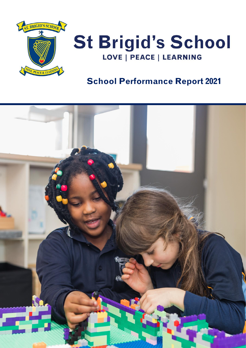



### **School Performance Report 2021**

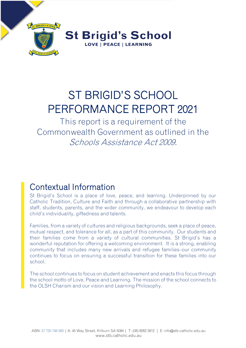

# ST BRIGID'S SCHOOL PERFORMANCE REPORT 2021

This report is a requirement of the Commonwealth Government as outlined in the Schools Assistance Act 2009.

# Contextual Information

St Brigid's School is a place of love, peace, and learning. Underpinned by our Catholic Tradition, Culture and Faith and through a collaborative partnership with staff, students, parents, and the wider community, we endeavour to develop each child's individuality, giftedness and talents.

Families, from a variety of cultures and religious backgrounds, seek a place of peace, mutual respect, and tolerance for all, as a part of this community. Our students and their families come from a variety of cultural communities. St Brigid's has a wonderful reputation for offering a welcoming environment. It is a strong, enabling community that includes many new arrivals and refugee families–our community continues to focus on ensuring a successful transition for these families into our school.

The school continues to focus on student achievement and enacts this focus through the school motto of Love, Peace and Learning. The mission of the school connects to the OLSH Charism and our vision and Learning Philosophy.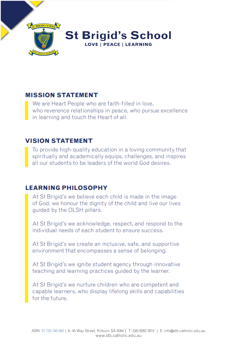

#### **MISSION STATEMENT**

We are Heart People who are faith-filled in love, who reverence relationships in peace, who pursue excellence in learning and touch the Heart of all.

#### **VISION STATEMENT**

To provide high-quality education in a loving community that spiritually and academically equips, challenges, and inspires all our students to be leaders of the world God desires.

### **LEARNING PHILOSOPHY**

At St Brigid's we believe each child is made in the image of God, we honour the dignity of the child and live our lives quided by the OLSH pillars.

At St Brigid's we acknowledge, respect, and respond to the individual needs of each student to ensure success.

At St Brigid's we create an inclusive, safe, and supportive environment that encompasses a sense of belonging.

At St Brigid's we ignite student agency through innovative teaching and learning practices guided by the learner.

At St Brigid's we nurture children who are competent and capable learners, who display lifelong skills and capabilities for the future.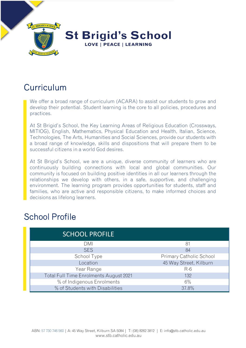

# **Curriculum**

We offer a broad range of curriculum (ACARA) to assist our students to grow and develop their potential. Student learning is the core to all policies, procedures and practices.

At St Brigid's School, the Key Learning Areas of Religious Education (Crossways, MITIOG), English, Mathematics, Physical Education and Health, Italian, Science, Technologies, The Arts, Humanities and Social Sciences, provide our students with a broad range of knowledge, skills and dispositions that will prepare them to be successful citizens in a world God desires.

At St Brigid's School, we are a unique, diverse community of learners who are continuously building connections with local and global communities. Our community is focused on building positive identities in all our learners through the relationships we develop with others, in a safe, supportive, and challenging environment. The learning program provides opportunities for students, staff and families, who are active and responsible citizens, to make informed choices and decisions as lifelong learners.

### School Profile

| <b>SCHOOL PROFILE</b>                  |                                |
|----------------------------------------|--------------------------------|
| DMI                                    | -81                            |
| <b>SES</b>                             | 84                             |
| School Type                            | <b>Primary Catholic School</b> |
| Location                               | 45 Way Street, Kilburn         |
| Year Range                             | $R-6$                          |
| Total Full Time Enrolments August 2021 | 132                            |
| % of Indigenous Enrolments             | 6%                             |
| % of Students with Disabilities        | 37.8%                          |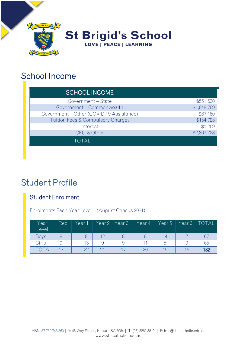

## School Income

| <b>SCHOOL INCOME</b>                         |             |
|----------------------------------------------|-------------|
| Government - State                           | \$551,630   |
| Government - Commonwealth                    | \$1,948,769 |
| Government - Other (COVID 19 Assistance)     | \$87,160    |
| <b>Tuition Fees &amp; Compulsory Charges</b> | \$154,723   |
| Interest                                     | \$1,269     |
| CEO & Other                                  | \$2,807,723 |
| TOTAL                                        |             |

# Student Profile

### Student Enrolment

Enrolments Each Year Level – (August Census 2021)

| Year<br>Level | Rec | Year 1 | Year 2 | Year 3 | Year 4 | Year 5 | Year <sub>6</sub> | <b>TOTAL</b> |
|---------------|-----|--------|--------|--------|--------|--------|-------------------|--------------|
| <b>Boys</b>   |     |        |        |        |        | 14.    |                   | 67           |
| Girls         | 9   | 13     |        |        |        |        |                   | 65           |
| TOTAL         |     | 22     |        |        | 20     | 19     |                   | 132          |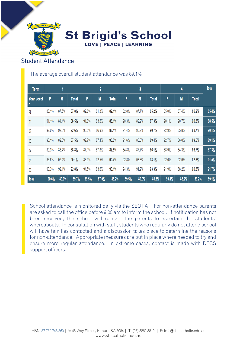

**St Brigid's School** LOVE | PEACE | LEARNING

### Student Attendance

The average overall student attendance was 89.1%

| <b>Term</b>                           |       | 1              |              |       | $\overline{\mathbf{2}}$ |              |       | 3              |              |       | 4              |              | <b>Total</b> |
|---------------------------------------|-------|----------------|--------------|-------|-------------------------|--------------|-------|----------------|--------------|-------|----------------|--------------|--------------|
| <b>Year Level</b><br>$\blacktriangle$ | F     | $\blacksquare$ | <b>Total</b> | F     | $\blacksquare$          | <b>Total</b> | F     | $\blacksquare$ | <b>Total</b> | F     | $\blacksquare$ | <b>Total</b> |              |
| RE                                    | 88.1% | 87.5%          | 87.8%        | 82.8% | 81.3%                   | 82.1%        | 82.8% | 87.7%          | 85.2%        | 85.0% | 87.4%          | 86.2%        | 85.4%        |
| 01                                    | 91.1% | 84.4%          | 88.5%        | 91.0% | 83.6%                   | 88.1%        | 90.3% | 82.9%          | 87.3%        | 90.1% | 90.7%          | 90.3%        | 88.5%        |
| 02                                    | 92.6% | 92.5%          | 92.6%        | 90.5% | 86.9%                   | 88.4%        | 91.4% | 90.2%          | 90.7%        | 92.9% | 85.8%          | 88.7%        | 90.1%        |
| 0 <sup>3</sup>                        | 93.1% | 82.8%          | 87.5%        | 92.7% | 87.4%                   | 90.0%        | 91.6% | 86.8%          | 89.4%        | 92.7% | 86.0%          | 89.6%        | 89.1%        |
| 04                                    | 89.3% | 88.4%          | 88.8%        | 87.1% | 87.8%                   | 87.5%        | 84.8% | 87.7%          | 86.1%        | 88.9% | 84.3%          | 86.7%        | 87.3%        |
| 05                                    | 83.6% | 92.4%          | 90.1%        | 83.9% | 92.5%                   | 90.4%        | 92.8% | 93.3%          | 93.1%        | 92.6% | 92.9%          | 92.8%        | 91.5%        |
| 06                                    | 93.3% | 92.1%          | 92.8%        | 94.5% | 83.6%                   | 90.1%        | 94.3% | 91.9%          | 93.3%        | 91.9% | 88.2%          | 90.3%        | 91.7%        |
| <b>Total</b>                          | 90.6% | 89.0%          | 89.7%        | 89.5% | 87.0%                   | 88.2%        | 89.5% | 89.0%          | 89.3%        | 90.4% | 88.2%          | 89.2%        | 89.1%        |

School attendance is monitored daily via the SEQTA. For non-attendance parents are asked to call the office before 9.00 am to inform the school. If notification has not been received, the school will contact the parents to ascertain the students' whereabouts. In consultation with staff, students who regularly do not attend school will have families contacted and a discussion takes place to determine the reasons for non-attendance. Appropriate measures are put in place where needed to try and ensure more regular attendance. In extreme cases, contact is made with DECS support officers.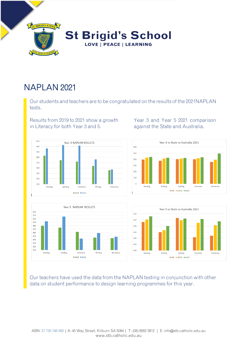

# NAPLAN 2021

Our students and teachers are to be congratulated on the results of the 2021NAPLAN tests.

Results from 2019 to 2021 show a growth Year 3 and Year 5 2021 comparison in Literacy for both Year 3 and 5. against the State and Australia.



Year 5 NAPLAN RESULTS 520 510 500 490 480 470 460 450  $440$ 430 420 410 Reading Spelling Grammar Writing Numeracy  $2019$  2021







Our teachers have used the data from the NAPLAN testing in conjunction with other data on student performance to design learning programmes for this year.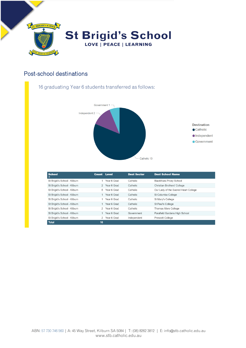

#### Post-school destinations

#### 16 graduating Year 6 students transferred as follows:



| <b>School</b><br>▴           | <b>Count Level</b> |               | <b>Dest Sector</b> | <b>Dest School Name</b>              |
|------------------------------|--------------------|---------------|--------------------|--------------------------------------|
| St Brigid's School - Kilburn |                    | Year 6 Grad   | Catholic           | <b>Blackfriars Priory School</b>     |
| St Brigid's School - Kilburn |                    | 2 Year 6 Grad | Catholic           | Christian Brothers' College          |
| St Brigid's School - Kilburn | 5                  | Year 6 Grad   | Catholic           | Our Lady of the Sacred Heart College |
| St Brigid's School - Kilburn |                    | Year 6 Grad   | Catholic           | St Columba College                   |
| St Brigid's School - Kilburn |                    | Year 6 Grad   | Catholic           | St Mary's College                    |
| St Brigid's School - Kilburn |                    | Year 6 Grad   | Catholic           | St Paul's College                    |
| St Brigid's School - Kilburn |                    | 2 Year 6 Grad | Catholic           | Thomas More College                  |
| St Brigid's School - Kilburn |                    | Year 6 Grad   | Government         | Parafield Gardens High School        |
| St Brigid's School - Kilburn |                    | 2 Year 6 Grad | Independent        | Prescott College                     |
| <b>Total</b>                 | 16                 |               |                    |                                      |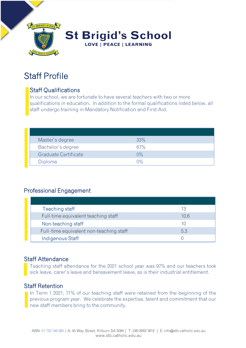

# Staff Profile

### Staff Qualifications

In our school, we are fortunate to have several teachers with two or more qualifications in education. In addition to the formal qualifications listed below, all staff undergo training in Mandatory Notification and First Aid.

| Master's degree      | 33%                |  |
|----------------------|--------------------|--|
| Bachelor's degree    | 67%                |  |
| Graduate Certificate | $0\%$              |  |
| Diploma              | $\bigcap_{\alpha}$ |  |

### Professional Engagement

| Teaching staff                          | 13   |
|-----------------------------------------|------|
| Full-time equivalent teaching staff     | 10.6 |
| Non-teaching staff                      |      |
| Full-time equivalent non-teaching staff | 5.3  |
| Indigenous Staff                        |      |

#### Staff Attendance

Teaching staff attendance for the 2021 school year was 97% and our teachers took sick leave, carer's leave and bereavement leave, as is their industrial entitlement.

#### Staff Retention

In Term 1 2021, 71% of our teaching staff were retained from the beginning of the previous program year. We celebrate the expertise, talent and commitment that our new staff members bring to the community.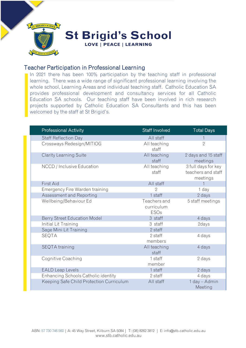

#### Teacher Participation in Professional Learning

In 2021 there has been 100% participation by the teaching staff in professional learning. There was a wide range of significant professional learning involving the whole school, Learning Areas and individual teaching staff. Catholic Education SA provides professional development and consultancy services for all Catholic Education SA schools. Our teaching staff have been involved in rich research projects supported by Catholic Education SA Consultants and this has been welcomed by the staff at St Brigid's.

| <b>Professional Activity</b>             | Staff Involved                            | <b>Total Days</b>                                     |
|------------------------------------------|-------------------------------------------|-------------------------------------------------------|
| Staff Reflection Day                     | All staff                                 |                                                       |
| Crossways Redesign/MITIOG                | All teaching<br>staff                     | $\overline{2}$                                        |
| Clarity Learning Suite                   | All teaching<br>staff                     | 2 days and 15 staff<br>meetings                       |
| NCCD / Inclusive Education               | All teaching<br>staff                     | 3 full days for key<br>teachers and staff<br>meetings |
| First Aid                                | All staff                                 | $\mathbf 1$                                           |
| Emergency Fire Warden training           | $\overline{2}$                            | 1 day                                                 |
| Assessment and Reporting                 | 1 staff                                   | 2 days                                                |
| Wellbeing/Behaviour Ed                   | Teachers and<br>curriculum<br><b>ESOs</b> | 5 staff meetings                                      |
| Berry Street Education Model             | 3 staff                                   | 4 days                                                |
| Initial Lit Training                     | 3 staff                                   | 2days                                                 |
| Sage Mini Lit Training                   | 2 staff                                   |                                                       |
| <b>SEQTA</b>                             | 2 staff<br>members                        | 4 days                                                |
| SEQTA training                           | All teaching<br>staff                     | 4 days                                                |
| Cognitive Coaching                       | 1 staff<br>member                         | 2 days                                                |
| <b>EALD Leap Levels</b>                  | 1 staff                                   | 2 days                                                |
| Enhancing Schools Catholic identity      | 2 staff                                   | 4 days                                                |
| Keeping Safe Child Protection Curriculum | All staff                                 | 1 day - Admin<br>Meeting                              |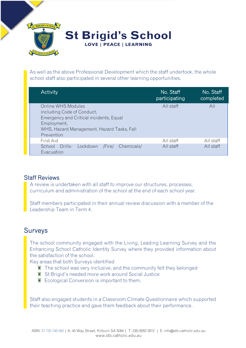

As well as the above Professional Development which the staff undertook, the whole school staff also participated in several other learning opportunities.

| <b>Activity</b>                                                                                                                                                        | No. Staff<br>participating | No. Staff<br>completed |
|------------------------------------------------------------------------------------------------------------------------------------------------------------------------|----------------------------|------------------------|
| Online WHS Modules<br>including Code of Conduct,<br>Emergency and Critical incidents, Equal<br>Employment,<br>WHS, Hazard Management, Hazard Tasks, Fall<br>Prevention | All staff                  | All                    |
| First Aid                                                                                                                                                              | All staff                  | All staff              |
| Chemicals/<br>Drills-<br>Lockdown<br>School<br>/Fire/<br>Evacuation                                                                                                    | All staff                  | All staff              |

#### Staff Reviews

A review is undertaken with all staff to improve our structures, processes, curriculum and administration of the school at the end of each school year.

Staff members participated in their annual review discussion with a member of the Leadership Team in Term 4.

### Surveys

The school community engaged with the Living, Leading Learning Survey and the Enhancing School Catholic Identity Survey where they provided information about the satisfaction of the school.

Key areas that both Surveys identified

- $\bar{I}$  The school was very inclusive, and the community felt they belonged
- **St Brigid's needed more work around Social Justice**
- $\ddot{\mathbf{\Sigma}}$  Ecological Conversion is important to them.

Staff also engaged students in a Classroom Climate Questionnaire which supported their teaching practice and gave them feedback about their performance.